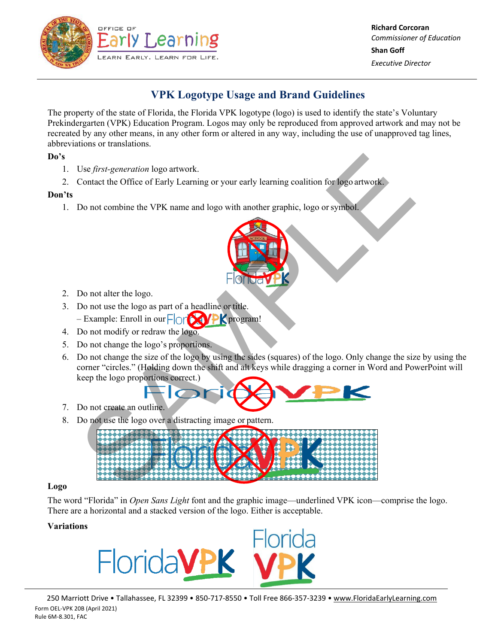

# **VPK Logotype Usage and Brand Guidelines**

The property of the state of Florida, the Florida VPK logotype (logo) is used to identify the state's Voluntary Prekindergarten (VPK) Education Program. Logos may only be reproduced from approved artwork and may not be recreated by any other means, in any other form or altered in any way, including the use of unapproved tag lines, abbreviations or translations.

## **Do's**

- 1. Use *first-generation* logo artwork.
- 2. Contact the Office of Early Learning or your early learning coalition for logo artwork.

## **Don'ts**

1. Do not combine the VPK name and logo with another graphic, logo orsymbol.



- 2. Do not alter the logo.
- 3. Do not use the logo as part of a headline or title. – Example: Enroll in our  $\Box$  or  $\Box$  PK program!
- 4. Do not modify or redraw the logo.
- 5. Do not change the logo's proportions.
- 6. Do not change the size of the logo by using the sides (squares) of the logo. Only change the size by using the corner "circles." (Holding down the shift and alt keys while dragging a corner in Word and PowerPoint will keep the logo proportions correct.)



- 7. Do not create an outline.
- 8. Do not use the logo over a distracting image or pattern.



#### **Logo**

The word "Florida" in *Open Sans Light* font and the graphic image—underlined VPK icon—comprise the logo. There are a horizontal and a stacked version of the logo. Either is acceptable.

## **Variations**